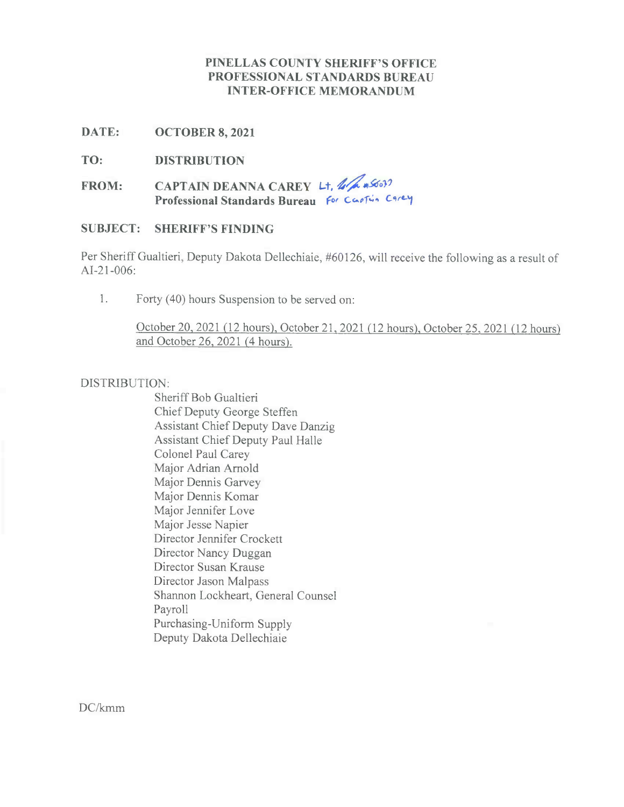## **PINELLAS COUNTY SHERIFF'S OFFICE PROFESSIONAL STANDARDS BUREAU INTER-OFFICE MEMORANDUM**

**DATE: OCTOBER 8, 2021**

**TO: DISTRIBUTION**

**FROM: CAPTAIN DEANNA CAREY L+,** *d6,00* **Professional Standards Bureau for Co,cf,+** *Cr-j*

### **SUBJECT: SHERIFF'S FINDING**

Per Sheriff Gualtieri, Deputy Dakota Dellechiaie, #60126, will receive the following as a result of AI-21-006:

1. Forty (40) hours Suspension to be served on:

October 20, 2021(12 hours), October21, 2021(12 hours) October 25, <sup>2021</sup>*(12* hours) and October 26,2021 *(4* hours).

### DISTRIBUTION:

Sheriff Bob Gualtieri Chief Deputy George Steffen Assistant Chief Deputy Dave Danzig Assistant Chief Deputy Paul Halle Colonel Paul Carey Major Adrian Arnold Major Dennis Garvey Major Dennis Komar Major Jennifer Love Major Jesse Napier Director Jennifer Crockett Director Nancy Duggan Director Susan Krause Director Jason Malpass Shannon Lockheart, General Counsel Payroll Purchasing-Uniform Supply Deputy Dakota Dellechiaie

DC/kmm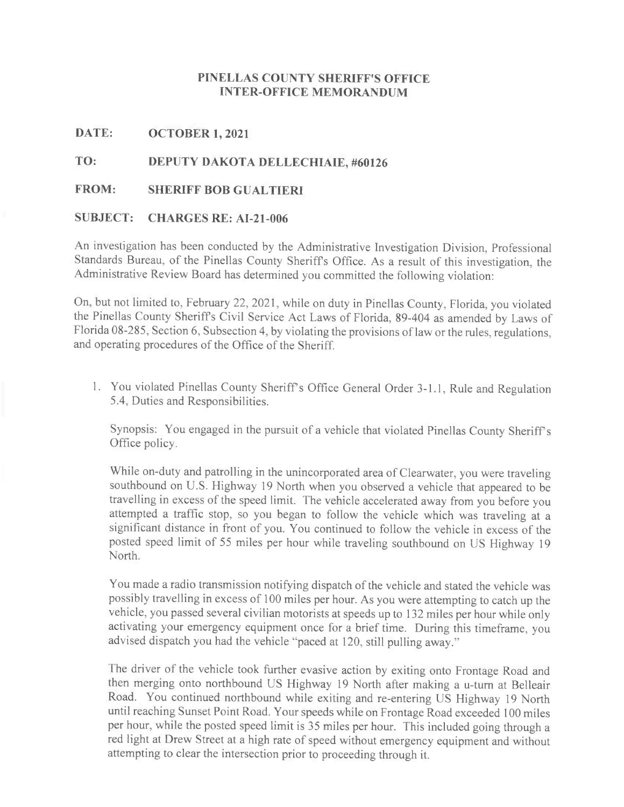## **PINELLAS COUNTY SHERIFF'S OFFICE INTER-OFFICE MEMORANDUM**

### **DATE: OCTOBER 1, 2021**

# **TO: DEPUTY DAKOTA DELLECHIAIE, #60126**

#### **FROM: SHERIFF BOB GUALTIERI**

#### **SUBJECT: CHARGES RE: AI-21-006**

An investigation has been conducted by the Administrative Investigation Division, Professional Standards Bureau, of the Pinellas County Sheriffs Office. As <sup>a</sup> result of this investigation, the Administrative Review Board has determined you committed the following violation:

On, but not limited to, February 22, 2021, while on duty in Pinellas County, Florida, you violated the Pinellas County Sheriffs Civil Service Act Laws of Florida, 89-404 as amended by Laws of Florida 08-285, Section 6, Subsection 4, by violating the provisions of law or the rules, regulations, and operating procedures of the Office of the Sheriff.

1. You violated Pinellas County Sheriff's Office General Order 3-1.1, Rule and Regulation 5.4, Duties and Responsibilities.

Synopsis: You engaged in the pursuit of a vehicle that violated Pinellas County Sheriff's Office policy.

While on-duty and patrolling in the unincorporated area of Clearwater, you were traveling southbound on U.S. Highway 19 North when you observed a vehicle that appeared to be travelling in excess of the speed limit. The vehicle accelerated away from you before you attempted a traffic stop, so you began to follow the vehicle which was traveling at a significant distance in front of you. You continued to follow the vehicle in excess of the posted speed limit of <sup>55</sup> miles per hour while traveling southbound on US Highway 19 North.

You made a radio transmission notifying dispatch of the vehicle and stated the vehicle was possibly travelling in excess of 100 miles per hour. As you were attempting to catch up the vehicle, you passed several civilian motorists at speeds up to 132 miles per hour while only activating your emergency equipment once for a brief time. During this timeframe, you advised dispatch you had the vehicle "paced at 120, still pulling away."

The driver of the vehicle took further evasive action by exiting onto Frontage Road and then merging onto northbound US Highway 19 North after making a u-turn at Belleair Road. You continued northbound while exiting and re-entering US Highway 19 North until reaching Sunset Point Road. Your speeds while on Frontage Road exceeded 100 miles per hour, while the posted speed limit is 35 miles per hour. This included going through a red light at Drew Street at a high rate of speed without emergency equipment and without attempting to clear the intersection prior to proceeding through it.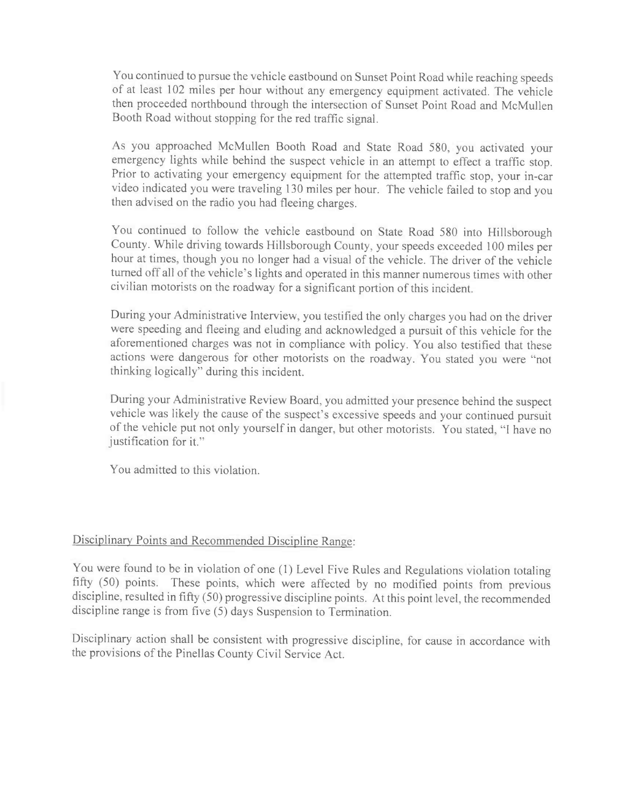You continued to pursue the vehicle eastbound on Sunset Point Road while reaching speeds of at least 102 miles per hour without any emergency equipment activated. The vehicle then proceeded northbound through the intersection of Sunset Point Road and McMullen Booth Road without stopping for the red traffic signal.

As you approached McMullen Booth Road and State Road 580, you activated your emergency lights while behind the suspect vehicle in an attempt to effect a traffic stop. Prior to activating your emergency equipment for the attempted traffic stop, your in-car video indicated you were traveling 130 miles per hour. The vehicle failed to stop and you then advised on the radio you had fleeing charges.

You continued to follow the vehicle eastbound on State Road 580 into Hillsborough County. While driving towards Hillsborough County, your speeds exceeded 100 miles per hour at times, though you no longer had a visual of the vehicle. The driver of the vehicle turned off all of the vehicle's lights and operated in this manner numerous times with other civilian motorists on the roadway for a significant portion of this incident.

During your Administrative Interview, you testified the only charges you had on the driver were speeding and fleeing and eluding and acknowledged a pursuit of this vehicle for the aforementioned charges was not in compliance with policy. You also testified that these actions were dangerous for other motorists on the roadway. You stated you were "not thinking logically" during this incident.

During your Administrative Review Board, you admitted your presence behind the suspect vehicle was likely the cause of the suspect's excessive speeds and your continued pursuit of the vehicle put not only yourself in danger, but other motorists. You stated, "I have no justification for it."

You admitted to this violation.

# Disciplinary Points and Recommended Discipline Range:

You were found to be in violation of one (1) Level Five Rules and Regulations violation totaling fifty (50) points. These points, which were affected by no modified points from previous discipline, resulted in fifty (50) progressive discipline points. At this point level, the recommended discipline range is from five (5) days Suspension to Termination.

Disciplinary action shall be consistent with progressive discipline, for cause in accordance with the provisions of the Pinellas County Civil Service Act.